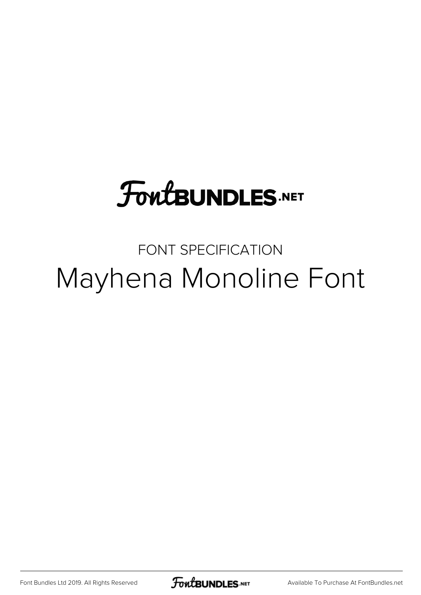## **FoutBUNDLES.NET**

## FONT SPECIFICATION Mayhena Monoline Font

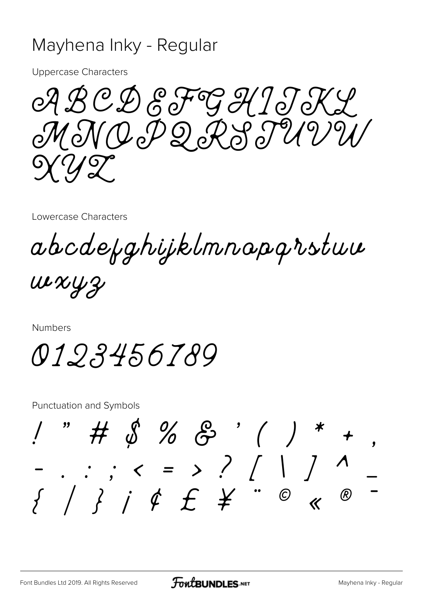## Mayhena Inky - Regular

**Uppercase Characters** 

ABCDEFGH1JKY MNOPQRSTUVW  $\frac{1}{2}$ 

Lowercase Characters

abcdefghijklmnapgrstuu

 $uxxyz$ 

**Numbers** 

0123456789

**Punctuation and Symbols** 

 $\# 2626$  $\left.\rule{0cm}{1.2cm}\right)^{-*}$ . . ,  $\langle$  = > ? [ | ] ^  $\{ \begin{array}{ccc} \end{array} \} \begin{array}{ccc} \end{array} \begin{array}{ccc} \end{array} \begin{array}{ccc} \end{array} \begin{array}{ccc} \end{array} \begin{array}{ccc} \end{array} \begin{array}{ccc} \end{array} \begin{array}{ccc} \end{array} \begin{array}{ccc} \end{array} \begin{array}{ccc} \end{array} \begin{array}{ccc} \end{array} \begin{array}{ccc} \end{array} \begin{array}{ccc} \end{array} \begin{array}{ccc} \end{array} \begin{array}{ccc} \end{array} \begin{array}{ccc} \end{array} \begin{array}{ccc} \end{array} \begin{array}{ccc} \end{array}$  $^{\circledR}$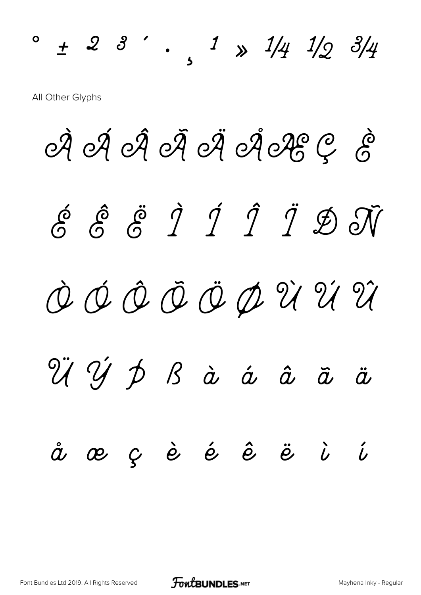$\circ$  + 2 3  $'$  , 1  $\frac{1}{4}$  1/2 3/4 All Other Glyphs

À Á Á À Á Ä Á LE Ç È É Ê Ë Ì Í Î Ï Ð Ñ Ò Ó Ô Õ Ö Ø Ù Ú Û Ü Ý Þ ß à á â ã ä å æ ç è é ê ë ì í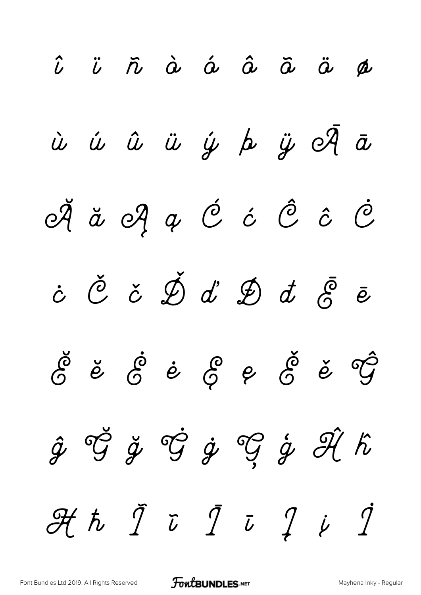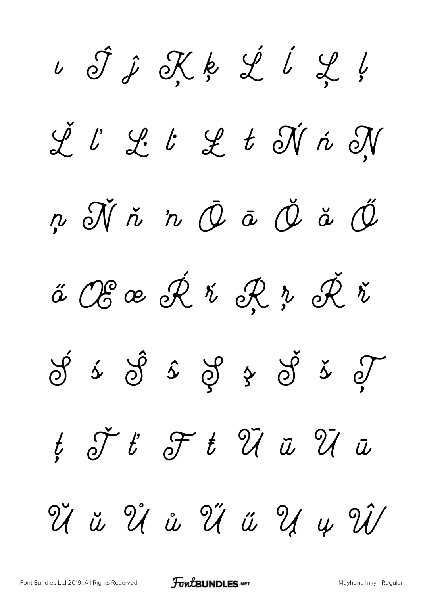ı Ĵ ĵ Ķ ķ Ĺ ĺ Ļ ļ Ľ ľ Ŀ ŀ Ł ł Ń ń Ņ ņ Ň ň 'n Ō ō Ŏ ŏ Ő ő Œ œ Ŕ ŕ Ŗ ŗ Ř ř  $\circled{f}$   $\circled{f}$   $\circled{f}$   $\circled{f}$   $\circled{f}$   $\circled{f}$   $\circled{f}$  $t$   $\check{J}$   $t$   $\mathscr{F}$   $t$   $\mathscr{\tilde{U}}$   $\tilde{u}$   $\mathscr{\tilde{U}}$   $\tilde{u}$ Ŭ ŭ Ů ů Ű ű Ų ų Ŵ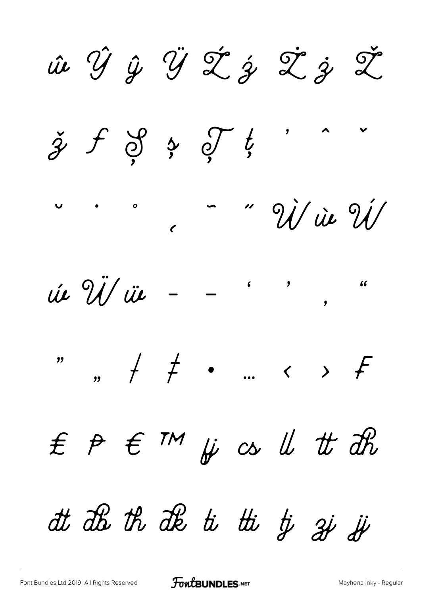ie ŶŷŸŽźŽžŽ  $\check{z}$  f  $\check{z}$   $\circ$  f  $\overline{\mathbf{z}}$ " U' in U'  $\bullet$   $\bullet$   $\bullet$ úe Ü/ üe  $\overline{\mathbf{y}}$  $\epsilon$   $\mathsf{m}$   $\mu$   $\in$   $\mathsf{u}$   $t$   $dt$   $dt$  $f$   $p$ at als th als to the ty ai is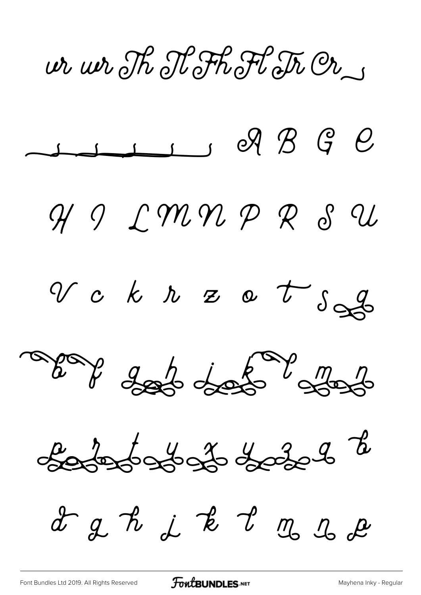ir wr Th Nothot Tr Or



[Font Bundles Ltd 2019. All Rights Reserved](https://fontbundles.net/) **FoutBUNDLES.NET** [Mayhena Inky - Regular](https://fontbundles.net/)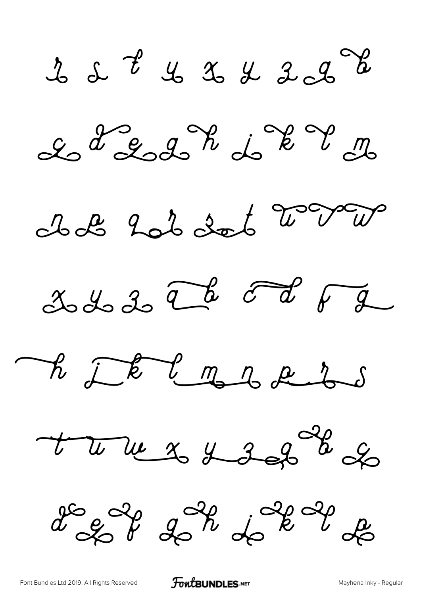$222$   $2322$ 



Il 2 201 dot 2 var







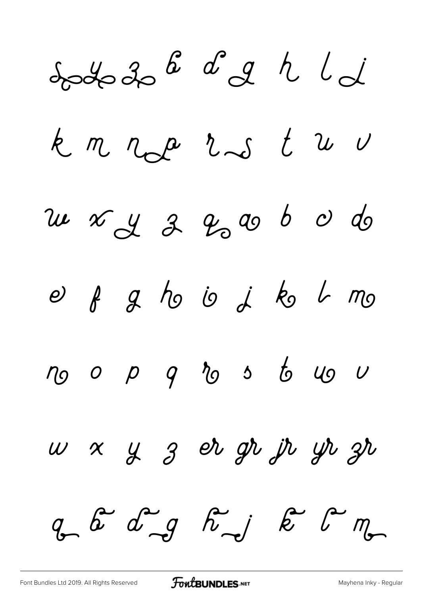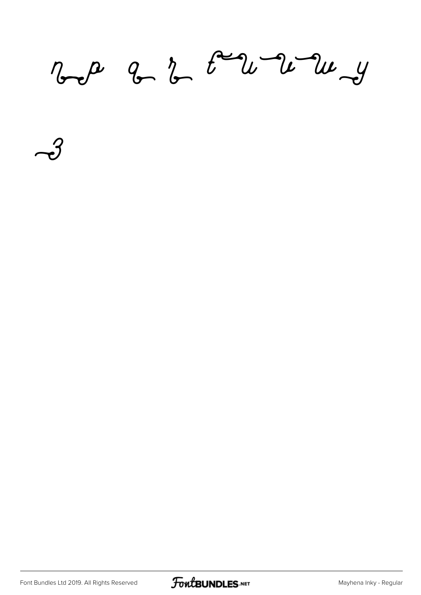$\n *a b c a b a b d y y*$ 

 $\rightarrow$ 

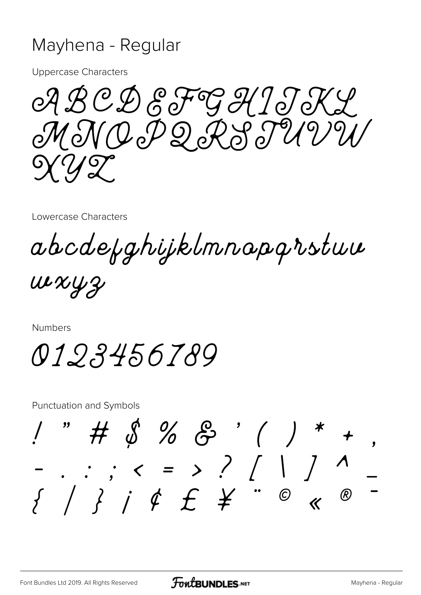## Mayhena - Regular

**Uppercase Characters** 

ABCDEFGHIJKL MNOPQRSTUVW  $\frac{1}{2}$ 

Lowercase Characters

abcdefghijklmnapgrstuu

 $uxxyz$ 

**Numbers** 

0123456789

**Punctuation and Symbols** 

 $\# 2626$  $\left.\rule{0cm}{1.2cm}\right)^{-*}$ . . ,  $\langle$  = > ? [ | ] ^  $\{ \begin{array}{ccc} \end{array} \} \begin{array}{ccc} \end{array} \begin{array}{ccc} \end{array} \begin{array}{ccc} \end{array} \begin{array}{ccc} \end{array} \begin{array}{ccc} \end{array} \begin{array}{ccc} \end{array} \begin{array}{ccc} \end{array} \begin{array}{ccc} \end{array} \begin{array}{ccc} \end{array} \begin{array}{ccc} \end{array} \begin{array}{ccc} \end{array} \begin{array}{ccc} \end{array} \begin{array}{ccc} \end{array} \begin{array}{ccc} \end{array} \begin{array}{ccc} \end{array} \begin{array}{ccc} \end{array} \begin{array}{ccc} \end{array}$  $^{\circledR}$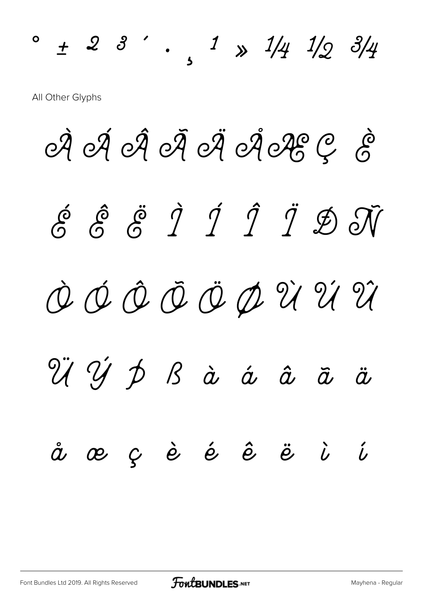$\circ$  + 2 3  $'$  , 1  $\frac{1}{4}$  1/2 3/4 All Other Glyphs

À Á Á À Á Ä Á LE Ç È É Ê Ë Ì Í Î Ï Ð Ñ Ò Ó Ô Õ Ö Ø Ù Ú Û Ü Ý Þ ß à á â ã ä å æ ç è é ê ë ì í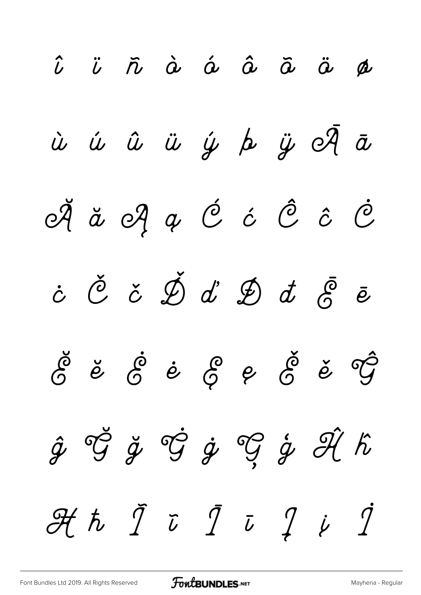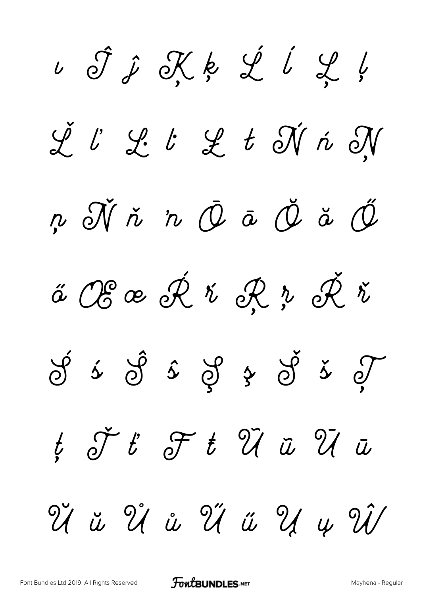ı Ĵ ĵ Ķ ķ Ĺ ĺ Ļ ļ Ľ ľ Ŀ ŀ Ł ł Ń ń Ņ ņ Ň ň 'n Ō ō Ŏ ŏ Ő ő Œ œ Ŕ ŕ Ŗ ŗ Ř ř  $\circled{f}$   $\circled{f}$   $\circled{f}$   $\circled{f}$   $\circled{f}$   $\circled{f}$   $\circled{f}$  $t$   $\check{J}$   $t$   $\mathscr{F}$   $t$   $\mathscr{\tilde{U}}$   $\tilde{u}$   $\mathscr{\tilde{U}}$   $\tilde{u}$ Ŭ ŭ Ů ů Ű ű Ų ų Ŵ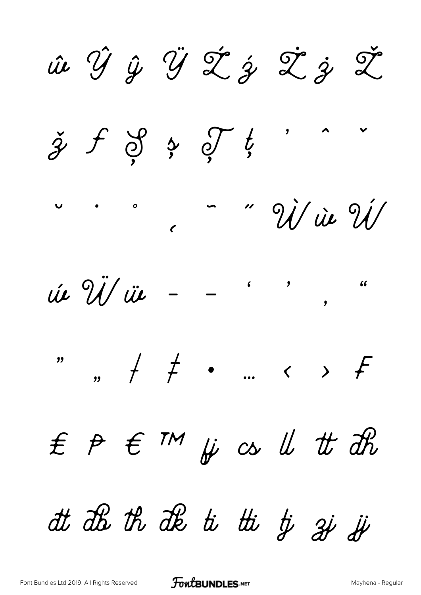ie Ý ŷ Ý Ž ż Ž ž Ž  $\check{z}$  f  $\check{z}$   $\circ$  f  $\overline{\mathbf{z}}$ " Vi ie Vi  $\bullet$   $\bullet$   $\circ$ úe Ü/ üe  $\overline{\mathbf{y}}$  $\epsilon$   $\mathsf{m}$   $\mu$   $\in$   $\mathsf{u}$   $t$   $dt$   $dt$  $f$   $p$ at als th als to the ty ai is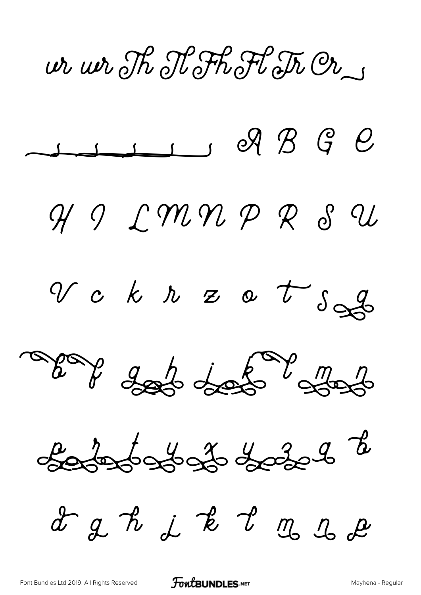ir wr Th Nothot Tr Or



[Font Bundles Ltd 2019. All Rights Reserved](https://fontbundles.net/) **FoutBUNDLES.NET** [Mayhena - Regular](https://fontbundles.net/)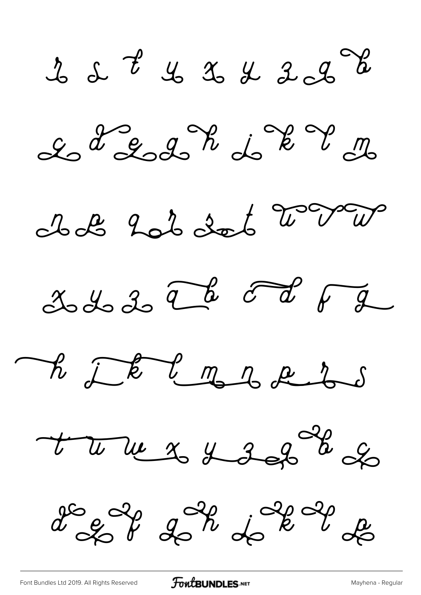$222$   $2322$ 



Il 2 203 dot 2 v 2







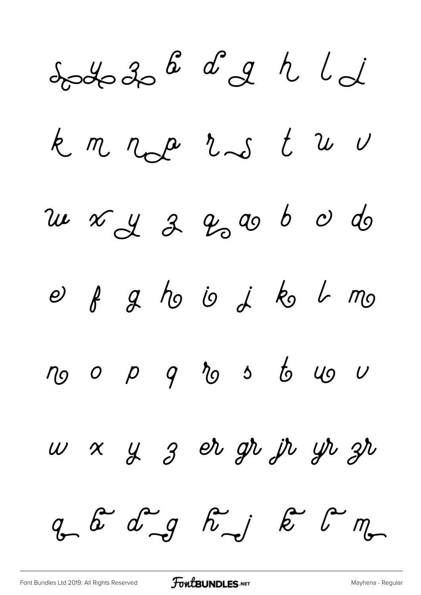